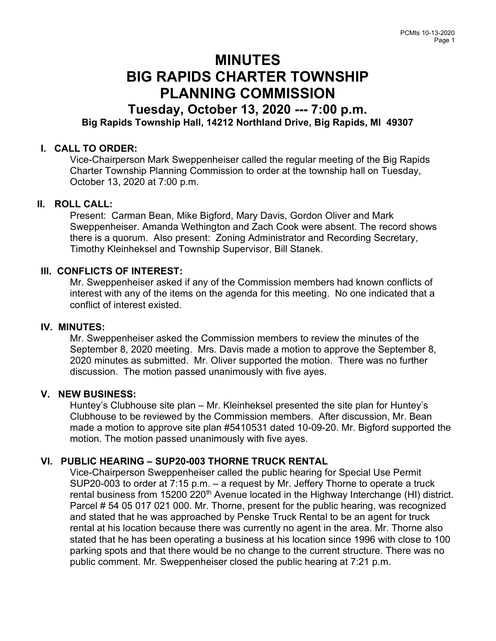# MINUTES BIG RAPIDS CHARTER TOWNSHIP PLANNING COMMISSION

# Tuesday, October 13, 2020 --- 7:00 p.m. Big Rapids Township Hall, 14212 Northland Drive, Big Rapids, MI 49307

# I. CALL TO ORDER:

Vice-Chairperson Mark Sweppenheiser called the regular meeting of the Big Rapids Charter Township Planning Commission to order at the township hall on Tuesday, October 13, 2020 at 7:00 p.m.

## II. ROLL CALL:

Present: Carman Bean, Mike Bigford, Mary Davis, Gordon Oliver and Mark Sweppenheiser. Amanda Wethington and Zach Cook were absent. The record shows there is a quorum. Also present: Zoning Administrator and Recording Secretary, Timothy Kleinheksel and Township Supervisor, Bill Stanek.

#### III. CONFLICTS OF INTEREST:

Mr. Sweppenheiser asked if any of the Commission members had known conflicts of interest with any of the items on the agenda for this meeting. No one indicated that a conflict of interest existed.

#### IV. MINUTES:

Mr. Sweppenheiser asked the Commission members to review the minutes of the September 8, 2020 meeting. Mrs. Davis made a motion to approve the September 8, 2020 minutes as submitted. Mr. Oliver supported the motion. There was no further discussion. The motion passed unanimously with five ayes.

## V. NEW BUSINESS:

Huntey's Clubhouse site plan – Mr. Kleinheksel presented the site plan for Huntey's Clubhouse to be reviewed by the Commission members. After discussion, Mr. Bean made a motion to approve site plan #5410531 dated 10-09-20. Mr. Bigford supported the motion. The motion passed unanimously with five ayes.

## VI. PUBLIC HEARING – SUP20-003 THORNE TRUCK RENTAL

Vice-Chairperson Sweppenheiser called the public hearing for Special Use Permit SUP20-003 to order at 7:15 p.m. – a request by Mr. Jeffery Thorne to operate a truck rental business from 15200 220<sup>th</sup> Avenue located in the Highway Interchange (HI) district. Parcel # 54 05 017 021 000. Mr. Thorne, present for the public hearing, was recognized and stated that he was approached by Penske Truck Rental to be an agent for truck rental at his location because there was currently no agent in the area. Mr. Thorne also stated that he has been operating a business at his location since 1996 with close to 100 parking spots and that there would be no change to the current structure. There was no public comment. Mr. Sweppenheiser closed the public hearing at 7:21 p.m.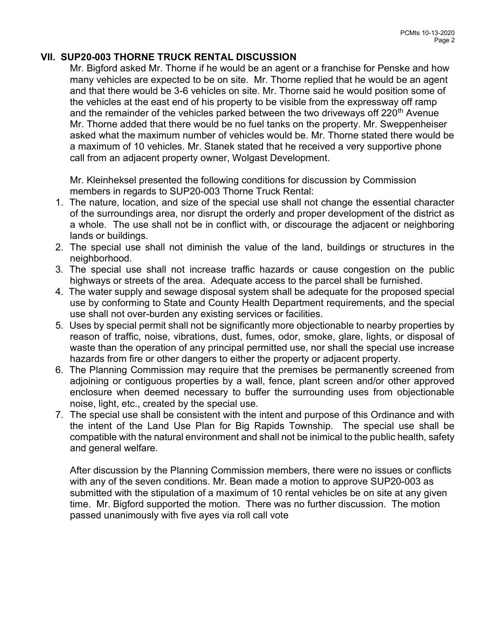# VII. SUP20-003 THORNE TRUCK RENTAL DISCUSSION

Mr. Bigford asked Mr. Thorne if he would be an agent or a franchise for Penske and how many vehicles are expected to be on site. Mr. Thorne replied that he would be an agent and that there would be 3-6 vehicles on site. Mr. Thorne said he would position some of the vehicles at the east end of his property to be visible from the expressway off ramp and the remainder of the vehicles parked between the two driveways off  $220<sup>th</sup>$  Avenue Mr. Thorne added that there would be no fuel tanks on the property. Mr. Sweppenheiser asked what the maximum number of vehicles would be. Mr. Thorne stated there would be a maximum of 10 vehicles. Mr. Stanek stated that he received a very supportive phone call from an adjacent property owner, Wolgast Development.

Mr. Kleinheksel presented the following conditions for discussion by Commission members in regards to SUP20-003 Thorne Truck Rental:

- 1. The nature, location, and size of the special use shall not change the essential character of the surroundings area, nor disrupt the orderly and proper development of the district as a whole. The use shall not be in conflict with, or discourage the adjacent or neighboring lands or buildings.
- 2. The special use shall not diminish the value of the land, buildings or structures in the neighborhood.
- 3. The special use shall not increase traffic hazards or cause congestion on the public highways or streets of the area. Adequate access to the parcel shall be furnished.
- 4. The water supply and sewage disposal system shall be adequate for the proposed special use by conforming to State and County Health Department requirements, and the special use shall not over-burden any existing services or facilities.
- 5. Uses by special permit shall not be significantly more objectionable to nearby properties by reason of traffic, noise, vibrations, dust, fumes, odor, smoke, glare, lights, or disposal of waste than the operation of any principal permitted use, nor shall the special use increase hazards from fire or other dangers to either the property or adjacent property.
- 6. The Planning Commission may require that the premises be permanently screened from adjoining or contiguous properties by a wall, fence, plant screen and/or other approved enclosure when deemed necessary to buffer the surrounding uses from objectionable noise, light, etc., created by the special use.
- 7. The special use shall be consistent with the intent and purpose of this Ordinance and with the intent of the Land Use Plan for Big Rapids Township. The special use shall be compatible with the natural environment and shall not be inimical to the public health, safety and general welfare.

After discussion by the Planning Commission members, there were no issues or conflicts with any of the seven conditions. Mr. Bean made a motion to approve SUP20-003 as submitted with the stipulation of a maximum of 10 rental vehicles be on site at any given time. Mr. Bigford supported the motion. There was no further discussion. The motion passed unanimously with five ayes via roll call vote